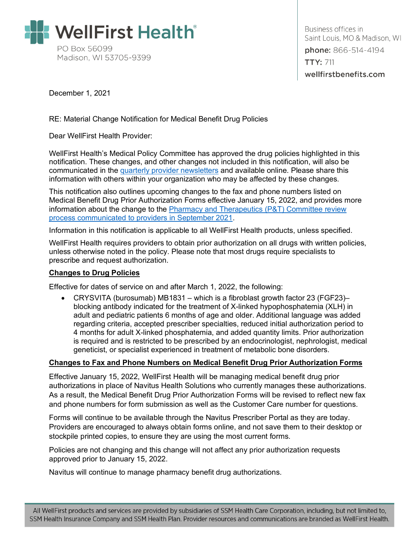

Business offices in Saint Louis, MO & Madison, WI phone: 866-514-4194 **TTY: 711** wellfirstbenefits.com

December 1, 2021

RE: Material Change Notification for Medical Benefit Drug Policies

Dear WellFirst Health Provider:

WellFirst Health's Medical Policy Committee has approved the drug policies highlighted in this notification. These changes, and other changes not included in this notification, will also be communicated in the [quarterly provider newsletters](#page-1-0) and available online. Please share this information with others within your organization who may be affected by these changes.

This notification also outlines upcoming changes to the fax and phone numbers listed on Medical Benefit Drug Prior Authorization Forms effective January 15, 2022, and provides more information about the change to the **Pharmacy and Therapeutics (P&T)** Committee review [process communicated to providers in September 2021.](https://wellfirstbenefits.com/Document-Library/PDF/Providers/Provider-Information/2021/P-T-Committee-Change-Nov-2021)

Information in this notification is applicable to all WellFirst Health products, unless specified.

WellFirst Health requires providers to obtain prior authorization on all drugs with written policies, unless otherwise noted in the policy. Please note that most drugs require specialists to prescribe and request authorization.

# **Changes to Drug Policies**

Effective for dates of service on and after March 1, 2022, the following:

• CRYSVITA (burosumab) MB1831 – which is a fibroblast growth factor 23 (FGF23)– blocking antibody indicated for the treatment of X-linked hypophosphatemia (XLH) in adult and pediatric patients 6 months of age and older. Additional language was added regarding criteria, accepted prescriber specialties, reduced initial authorization period to 4 months for adult X-linked phosphatemia, and added quantity limits. Prior authorization is required and is restricted to be prescribed by an endocrinologist, nephrologist, medical geneticist, or specialist experienced in treatment of metabolic bone disorders.

# **Changes to Fax and Phone Numbers on Medical Benefit Drug Prior Authorization Forms**

Effective January 15, 2022, WellFirst Health will be managing medical benefit drug prior authorizations in place of Navitus Health Solutions who currently manages these authorizations. As a result, the Medical Benefit Drug Prior Authorization Forms will be revised to reflect new fax and phone numbers for form submission as well as the Customer Care number for questions.

Forms will continue to be available through the Navitus Prescriber Portal as they are today. Providers are encouraged to always obtain forms online, and not save them to their desktop or stockpile printed copies, to ensure they are using the most current forms.

Policies are not changing and this change will not affect any prior authorization requests approved prior to January 15, 2022.

When  $\mathcal{M}(\mathcal{M})$  and  $\mathcal{M}(\mathcal{M})$  and  $\mathcal{M}(\mathcal{M})$  and  $\mathcal{M}(\mathcal{M})$  and  $\mathcal{M}(\mathcal{M})$ 

Navitus will continue to manage pharmacy benefit drug authorizations.